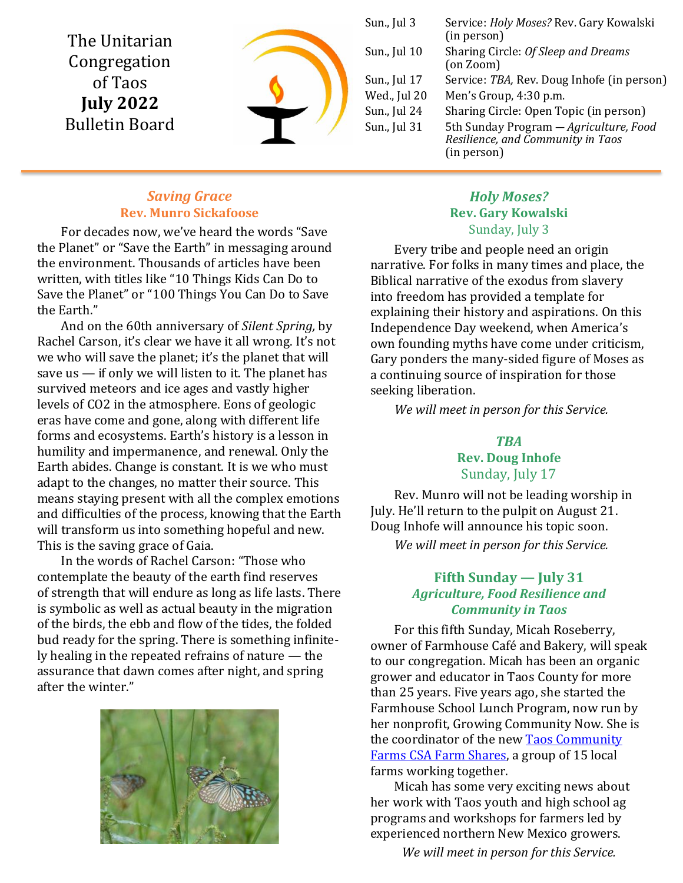The Unitarian Congregation of Taos **July 2022** Bulletin Board



Sun., Jul 3 Service: *Holy Moses?* Rev. Gary Kowalski (in person) Sun., Jul 10 Sharing Circle: *Of Sleep and Dreams* (on Zoom) Sun., Jul 17 Service: *TBA,* Rev. Doug Inhofe (in person) Wed., Jul 20 Men's Group, 4:30 p.m. Sun., Jul 24 Sharing Circle: Open Topic (in person) Sun., Jul 31 5th Sunday Program — *Agriculture, Food Resilience, and Community in Taos* (in person)

### *Saving Grace* **Rev. Munro Sickafoose**

For decades now, we've heard the words "Save the Planet" or "Save the Earth" in messaging around the environment. Thousands of articles have been written, with titles like "10 Things Kids Can Do to Save the Planet" or "100 Things You Can Do to Save the Earth."

And on the 60th anniversary of *Silent Spring,* by Rachel Carson, it's clear we have it all wrong. It's not we who will save the planet; it's the planet that will save us  $-$  if only we will listen to it. The planet has survived meteors and ice ages and vastly higher levels of CO2 in the atmosphere. Eons of geologic eras have come and gone, along with different life forms and ecosystems. Earth's history is a lesson in humility and impermanence, and renewal. Only the Earth abides. Change is constant. It is we who must adapt to the changes, no matter their source. This means staying present with all the complex emotions and difficulties of the process, knowing that the Earth will transform us into something hopeful and new. This is the saving grace of Gaia.

In the words of Rachel Carson: "Those who contemplate the beauty of the earth find reserves of strength that will endure as long as life lasts. There is symbolic as well as actual beauty in the migration of the birds, the ebb and flow of the tides, the folded bud ready for the spring. There is something infinitely healing in the repeated refrains of nature — the assurance that dawn comes after night, and spring after the winter."



## *Holy Moses?* **Rev. Gary Kowalski** Sunday, July 3

Every tribe and people need an origin narrative. For folks in many times and place, the Biblical narrative of the exodus from slavery into freedom has provided a template for explaining their history and aspirations. On this Independence Day weekend, when America's own founding myths have come under criticism, Gary ponders the many-sided figure of Moses as a continuing source of inspiration for those seeking liberation.

*We will meet in person for this Service.*

# *TBA* **Rev. Doug Inhofe**

Sunday, July 17

Rev. Munro will not be leading worship in July. He'll return to the pulpit on August 21. Doug Inhofe will announce his topic soon. *We will meet in person for this Service.*

# **Fifth Sunday — July 31** *Agriculture, Food Resilience and Community in Taos*

For this fifth Sunday, Micah Roseberry, owner of Farmhouse Café and Bakery, will speak to our congregation. Micah has been an organic grower and educator in Taos County for more than 25 years. Five years ago, she started the Farmhouse School Lunch Program, now run by her nonprofit, Growing Community Now. She is the coordinator of the new **Taos Community** Farms [CSA Farm Shares,](https://growingcommunitynow.org/about-us) a group of 15 local farms working together.

Micah has some very exciting news about her work with Taos youth and high school ag programs and workshops for farmers led by experienced northern New Mexico growers.

*We will meet in person for this Service.*